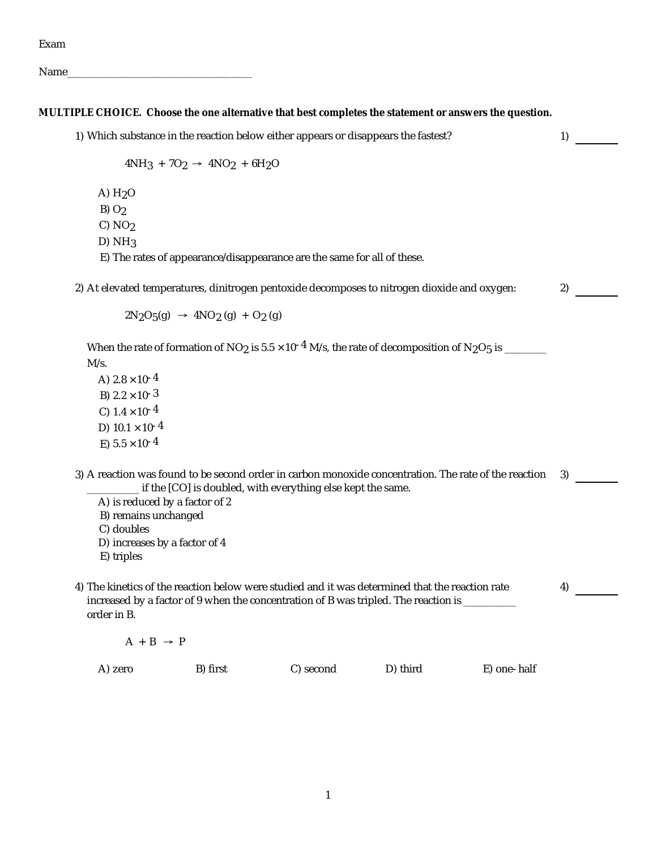Exam

Name\_\_\_\_\_\_\_\_\_\_\_\_\_\_\_\_\_\_\_\_\_\_\_\_\_\_\_\_\_\_\_\_\_\_\_

**MULTIPLE CHOICE. Choose the one alternative that best completes the statement or answers the question.**

1) Which substance in the reaction below either appears or disappears the fastest?  $1$ <br>4NH<sub>3</sub> + 7O<sub>2</sub>  $\rightarrow$  4NO<sub>2</sub> + 6H<sub>2</sub>O A) H2O  $B) O<sub>2</sub>$  $C) NO<sub>2</sub>$  $D)$  NH<sub>3</sub> E) The rates of appearance/disappearance are the same for all of these. 2) At elevated temperatures, dinitrogen pentoxide decomposes to nitrogen dioxide and oxygen:  $2N_2O_5(q) \rightarrow 4NO_2(q) + O_2(q)$ When the rate of formation of NO<sub>2</sub> is 5.5  $\times$  10<sup>-4</sup> M/s, the rate of decomposition of N<sub>2</sub>O<sub>5</sub> is \_\_\_\_\_\_\_ At elevated temperatures, dinitrogen pentoxide decomposes to nitrogen dioxide and oxygen:<br>  $2N_2O_5(g) \rightarrow 4NO_2(g) + O_2(g)$ <br>
When the rate of formation of NO<sub>2</sub> is 5.5 × 10<sup>-4</sup> M/s, the rate of decomposition of N<sub>2</sub>O<sub>5</sub> is \_\_\_\_ A)  $2.8 \times 10^{-4}$ B)  $2.2 \times 10^{-3}$ C)  $1.4 \times 10^{-4}$ D)  $10.1 \times 10^{-4}$ E)  $5.5 \times 10^{-4}$ 3) A reaction was found to be second order in carbon monoxide concentration. The rate of the reaction \_\_\_\_\_\_\_\_\_\_ if the [CO] is doubled, with everything else kept the same. 3) A) is reduced by a factor of 2 B) remains unchanged C) doubles D) increases by a factor of 4 E) triples 4) The kinetics of the reaction below were studied and it was determined that the reaction rate increased by a factor of 9 when the concentration of B was tripled. The reaction is \_\_\_\_\_\_\_\_ order in B.  $A + B \rightarrow P$ 4)

A) zero B) first C) second D) third E) one-half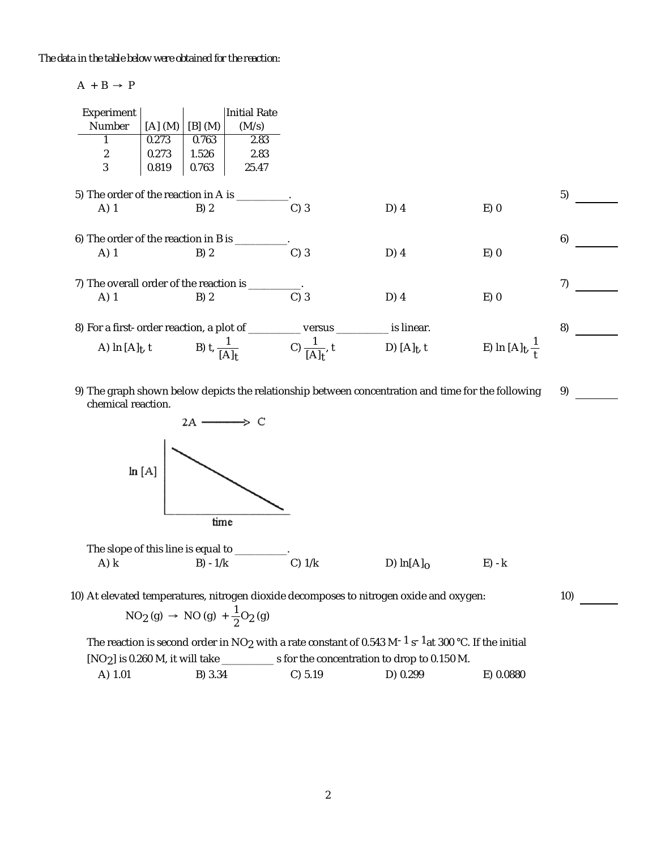*The data in the table below were obtained for the reaction:*

## $A + B \rightarrow P$

| Experiment                                                                                   |         |                         | Initial Rate |                                        |                |                                 |    |
|----------------------------------------------------------------------------------------------|---------|-------------------------|--------------|----------------------------------------|----------------|---------------------------------|----|
| Number                                                                                       | [A] (M) | $[B]$ (M)               | (M/s)        |                                        |                |                                 |    |
|                                                                                              | 0.273   | 0.763                   | 2.83         |                                        |                |                                 |    |
| $\begin{array}{c} 2 \\ 3 \end{array}$                                                        | 0.273   | 1.526                   | 2.83         |                                        |                |                                 |    |
|                                                                                              | 0.819   | 0.763                   | 25.47        |                                        |                |                                 |    |
| 5) The order of the reaction in A is _________<br>$D)$ 4<br>$E$ ) 0<br>A) 1<br>B)2<br>$C)$ 3 |         |                         |              |                                        |                | 5)                              |    |
| 6) The order of the reaction in B is ________<br>$A)$ 1                                      |         | B)2                     |              | $C)$ 3                                 | $D)$ 4         | $E$ ) 0                         | 6) |
| 7) The overall order of the reaction is _____                                                |         |                         |              |                                        |                |                                 |    |
| A) 1                                                                                         |         | B) 2                    |              | $C)$ 3                                 | $D)$ 4         | $E$ ) 0                         | 7) |
| 8) For a first-order reaction, a plot of ____                                                |         |                         |              | ____ versus ___                        | __ is linear.  |                                 | 8) |
| A) In $[A]_t$ , t                                                                            |         | B) $t, \frac{1}{[A]_1}$ |              | $\overline{C}$ ) $\frac{1}{[A]_t}$ , t | D) $[A]_t$ , t | E) In $[A]_{t}$ , $\frac{1}{t}$ |    |

9) The graph shown below depicts the relationship between concentration and time for the following chemical reaction.





10) At elevated temperatures, nitrogen dioxide decomposes to nitrogen oxide and oxygen:

$$
NO_2(g) \rightarrow NO(g) + \frac{1}{2}O_2(g)
$$

The reaction is second order in NO<sub>2</sub> with a rate constant of 0.543 M<sup>-1</sup> s<sup>-1</sup>at 300 °C. If the initial At elevated temperatures, nitrogen dioxide decomposes to nitrogen oxide and oxygen:<br>  $NO_2(g) \rightarrow NO(g) + \frac{1}{2}O_2(g)$ <br>
The reaction is second order in NO<sub>2</sub> with a rate constant of 0.543 M<sup>-1</sup> s<sup>-1</sup>at 300 °C. If the initial<br>
[NO A) 1.01 B) 3.34 C) 5.19 D) 0.299 E) 0.0880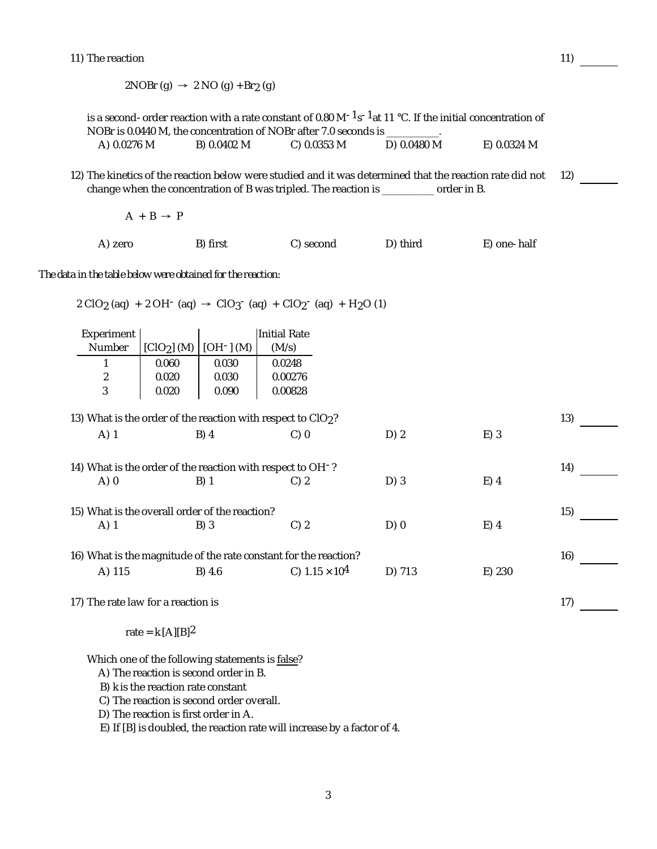11) The reaction

2NOBr (g)  $\rightarrow$  2 NO (g) + Br<sub>2</sub> (g) is a second-order reaction with a rate constant of 0.80 M<sup>-1</sup>s<sup>-1</sup>at 11 °C. If the initial concentration of The reaction<br>
2NOBr (g)  $\rightarrow$  2 NO (g) + Br<sub>2</sub> (g)<br>
is a second-order reaction with a rate constant of 0.80 M<sup>-1</sup>s<sup>-1</sup>at 11 °C. If the initial concentration of<br>
NOBr is 0.0440 M, the concentration of NOBr after 7.0 seconds A) 0.0276 M B) 0.0402 M C) 0.0353 M D) 0.0480 M E) 0.0324 M 12) The kinetics of the reaction below were studied and it was determined that the reaction rate did not 12)<br>change when the concentration of B was tripled. The reaction is \_\_\_\_\_\_\_\_\_\_\_\_\_ order in B.<br> $A + B \rightarrow P$ change when the concentration of B was tripled. The reaction is \_\_\_\_\_\_\_\_\_\_ order in B. A) zero B) first C) second D) third E) one-half *The data in the table below were obtained for the reaction:* 2 ClO2 (aq) <sup>+</sup> 2 OH- (aq) ClO3- (aq) <sup>+</sup> ClO2- (aq) <sup>+</sup> H2O (1) Experiment xperiment |<br>Number | [ClO<sub>2</sub>] (M) | [OH-] (M) | (M/s) | (M/s) 1 0.060 0.030 0.0248 2 0.020 0.030 0.00276 3 0.020 0.090 0.00828 13) What is the order of the reaction with respect to ClO<sub>2</sub>? 13) 13 A) 1 B) 4 C) 0 D) 2 E) 3 14) What is the order of the reaction with respect to OH $-$ ? 14) A) 0 B) 1 C) 2 D) 3 E) 4 15) What is the overall order of the reaction? 15) A) 1 B) 3 C) 2 D) 0 E) 4 16) What is the magnitude of the rate constant for the reaction? 16) A) 115 B) 4.6 C) 1.15 × 104 D) 713 E) 230 17) The rate law for a reaction is rate =  $k$  [A][B]<sup>2</sup> 17)

Which one of the following statements is false?

- A) The reaction is second order in B.
- B) *k* is the reaction rate constant
- C) The reaction is second order overall.
- D) The reaction is first order in A.

E) If [B] is doubled, the reaction rate will increase by a factor of 4.